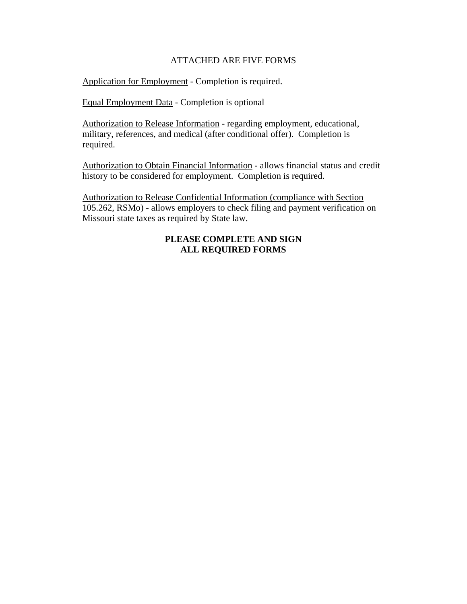#### ATTACHED ARE FIVE FORMS

Application for Employment - Completion is required.

Equal Employment Data - Completion is optional

Authorization to Release Information - regarding employment, educational, military, references, and medical (after conditional offer). Completion is required.

Authorization to Obtain Financial Information - allows financial status and credit history to be considered for employment. Completion is required.

Authorization to Release Confidential Information (compliance with Section 105.262, RSMo) - allows employers to check filing and payment verification on Missouri state taxes as required by State law.

### **PLEASE COMPLETE AND SIGN ALL REQUIRED FORMS**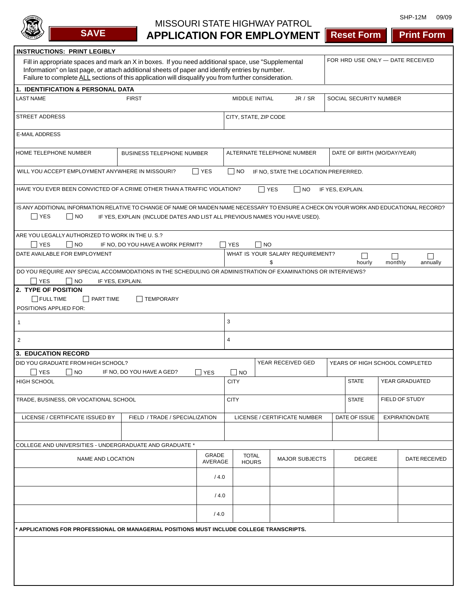

# MISSOURI STATE HIGHWAY PATROL

SHP-12M 09/09

| <b>SAVE</b>                                                                                                                                                                                                                                                                                                                                       | <b>APPLICATION FOR EMPLOYMENT   Reset Form</b>                             |            |                    |                              |                                      |                                |                                |                | <b>Print Form</b>      |
|---------------------------------------------------------------------------------------------------------------------------------------------------------------------------------------------------------------------------------------------------------------------------------------------------------------------------------------------------|----------------------------------------------------------------------------|------------|--------------------|------------------------------|--------------------------------------|--------------------------------|--------------------------------|----------------|------------------------|
| <b>INSTRUCTIONS: PRINT LEGIBLY</b>                                                                                                                                                                                                                                                                                                                |                                                                            |            |                    |                              |                                      |                                |                                |                |                        |
| FOR HRD USE ONLY - DATE RECEIVED<br>Fill in appropriate spaces and mark an X in boxes. If you need additional space, use "Supplemental<br>Information" on last page, or attach additional sheets of paper and identify entries by number.<br>Failure to complete ALL sections of this application will disqualify you from further consideration. |                                                                            |            |                    |                              |                                      |                                |                                |                |                        |
| <b>1. IDENTIFICATION &amp; PERSONAL DATA</b>                                                                                                                                                                                                                                                                                                      |                                                                            |            |                    |                              |                                      |                                |                                |                |                        |
| <b>LAST NAME</b>                                                                                                                                                                                                                                                                                                                                  | <b>FIRST</b>                                                               |            |                    | MIDDLE INITIAL               | JR / SR                              |                                | SOCIAL SECURITY NUMBER         |                |                        |
| <b>STREET ADDRESS</b><br>CITY, STATE, ZIP CODE                                                                                                                                                                                                                                                                                                    |                                                                            |            |                    |                              |                                      |                                |                                |                |                        |
| <b>E-MAIL ADDRESS</b>                                                                                                                                                                                                                                                                                                                             |                                                                            |            |                    |                              |                                      |                                |                                |                |                        |
| HOME TELEPHONE NUMBER<br>ALTERNATE TELEPHONE NUMBER<br>DATE OF BIRTH (MO/DAY/YEAR)<br><b>BUSINESS TELEPHONE NUMBER</b>                                                                                                                                                                                                                            |                                                                            |            |                    |                              |                                      |                                |                                |                |                        |
| WILL YOU ACCEPT EMPLOYMENT ANYWHERE IN MISSOURI?                                                                                                                                                                                                                                                                                                  |                                                                            | $\Box$ YES | $\vert$ $\vert$ NO |                              | IF NO, STATE THE LOCATION PREFERRED. |                                |                                |                |                        |
| HAVE YOU EVER BEEN CONVICTED OF A CRIME OTHER THAN A TRAFFIC VIOLATION?                                                                                                                                                                                                                                                                           |                                                                            |            |                    | $\Box$ YES                   | NO                                   |                                | IF YES, EXPLAIN.               |                |                        |
| IS ANY ADDITIONAL INFORMATION RELATIVE TO CHANGE OF NAME OR MAIDEN NAME NECESSARY TO ENSURE A CHECK ON YOUR WORK AND EDUCATIONAL RECORD?<br>$\Box$ YES<br>$\Box$ NO                                                                                                                                                                               | IF YES, EXPLAIN (INCLUDE DATES AND LIST ALL PREVIOUS NAMES YOU HAVE USED). |            |                    |                              |                                      |                                |                                |                |                        |
| ARE YOU LEGALLY AUTHORIZED TO WORK IN THE U.S.?                                                                                                                                                                                                                                                                                                   |                                                                            |            |                    |                              |                                      |                                |                                |                |                        |
| $\Box$ YES<br>$\Box$ NO<br>DATE AVAILABLE FOR EMPLOYMENT                                                                                                                                                                                                                                                                                          | IF NO, DO YOU HAVE A WORK PERMIT?                                          |            | <b>YES</b>         | NO                           |                                      |                                |                                |                |                        |
|                                                                                                                                                                                                                                                                                                                                                   |                                                                            |            |                    | \$                           | WHAT IS YOUR SALARY REQUIREMENT?     |                                | $\Box$<br>hourly               | П<br>monthly   | П<br>annually          |
| DO YOU REQUIRE ANY SPECIAL ACCOMMODATIONS IN THE SCHEDULING OR ADMINISTRATION OF EXAMINATIONS OR INTERVIEWS?                                                                                                                                                                                                                                      |                                                                            |            |                    |                              |                                      |                                |                                |                |                        |
| YES<br>$\overline{\phantom{a}}$ NO                                                                                                                                                                                                                                                                                                                | IF YES, EXPLAIN.                                                           |            |                    |                              |                                      |                                |                                |                |                        |
| 2. TYPE OF POSITION<br>$\Box$ FULL TIME<br>    PART TIME                                                                                                                                                                                                                                                                                          | TEMPORARY                                                                  |            |                    |                              |                                      |                                |                                |                |                        |
| POSITIONS APPLIED FOR:                                                                                                                                                                                                                                                                                                                            |                                                                            |            |                    |                              |                                      |                                |                                |                |                        |
| 3<br>-1                                                                                                                                                                                                                                                                                                                                           |                                                                            |            |                    |                              |                                      |                                |                                |                |                        |
| $\overline{2}$                                                                                                                                                                                                                                                                                                                                    |                                                                            |            | 4                  |                              |                                      |                                |                                |                |                        |
| <b>3. EDUCATION RECORD</b>                                                                                                                                                                                                                                                                                                                        |                                                                            |            |                    |                              |                                      |                                |                                |                |                        |
| DID YOU GRADUATE FROM HIGH SCHOOL?<br>$\Box$ YES<br>$\Box$ NO                                                                                                                                                                                                                                                                                     | IF NO, DO YOU HAVE A GED?                                                  | $\Box$ YES | NO                 |                              | YEAR RECEIVED GED                    |                                | YEARS OF HIGH SCHOOL COMPLETED |                |                        |
| HIGH SCHOOL                                                                                                                                                                                                                                                                                                                                       |                                                                            |            | <b>CITY</b>        |                              |                                      |                                | <b>STATE</b>                   | YEAR GRADUATED |                        |
| TRADE, BUSINESS, OR VOCATIONAL SCHOOL                                                                                                                                                                                                                                                                                                             |                                                                            |            | <b>CITY</b>        |                              |                                      | FIELD OF STUDY<br><b>STATE</b> |                                |                |                        |
| LICENSE / CERTIFICATE ISSUED BY                                                                                                                                                                                                                                                                                                                   | FIELD / TRADE / SPECIALIZATION                                             |            |                    |                              | LICENSE / CERTIFICATE NUMBER         |                                | DATE OF ISSUE                  |                | <b>EXPIRATION DATE</b> |
|                                                                                                                                                                                                                                                                                                                                                   |                                                                            |            |                    |                              |                                      |                                |                                |                |                        |
| COLLEGE AND UNIVERSITIES - UNDERGRADUATE AND GRADUATE *                                                                                                                                                                                                                                                                                           |                                                                            |            |                    |                              |                                      |                                |                                |                |                        |
| NAME AND LOCATION                                                                                                                                                                                                                                                                                                                                 |                                                                            |            | GRADE<br>AVERAGE   | <b>TOTAL</b><br><b>HOURS</b> | <b>MAJOR SUBJECTS</b>                |                                | <b>DEGREE</b>                  |                | DATE RECEIVED          |
|                                                                                                                                                                                                                                                                                                                                                   |                                                                            |            | /4.0               |                              |                                      |                                |                                |                |                        |
|                                                                                                                                                                                                                                                                                                                                                   |                                                                            |            | /4.0               |                              |                                      |                                |                                |                |                        |
|                                                                                                                                                                                                                                                                                                                                                   |                                                                            | /4.0       |                    |                              |                                      |                                |                                |                |                        |
| APPLICATIONS FOR PROFESSIONAL OR MANAGERIAL POSITIONS MUST INCLUDE COLLEGE TRANSCRIPTS.                                                                                                                                                                                                                                                           |                                                                            |            |                    |                              |                                      |                                |                                |                |                        |
|                                                                                                                                                                                                                                                                                                                                                   |                                                                            |            |                    |                              |                                      |                                |                                |                |                        |
|                                                                                                                                                                                                                                                                                                                                                   |                                                                            |            |                    |                              |                                      |                                |                                |                |                        |
|                                                                                                                                                                                                                                                                                                                                                   |                                                                            |            |                    |                              |                                      |                                |                                |                |                        |
|                                                                                                                                                                                                                                                                                                                                                   |                                                                            |            |                    |                              |                                      |                                |                                |                |                        |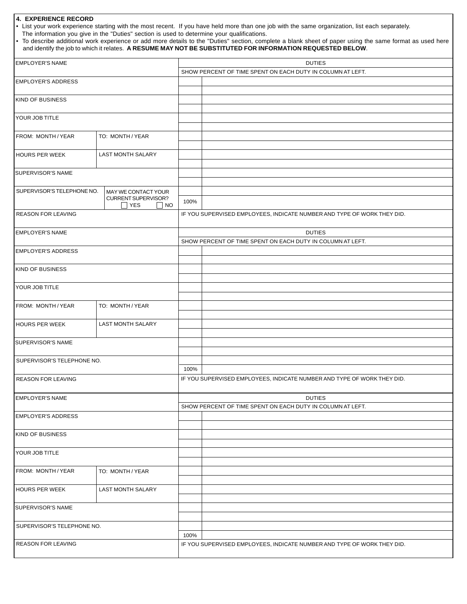#### **4. EXPERIENCE RECORD**

• List your work experience starting with the most recent. If you have held more than one job with the same organization, list each separately.

The information you give in the "Duties" section is used to determine your qualifications.

| • To describe additional work experience or add more details to the "Duties" section, complete a blank sheet of paper using the same format as used here |  |
|----------------------------------------------------------------------------------------------------------------------------------------------------------|--|
| and identify the job to which it relates. A RESUME MAY NOT BE SUBSTITUTED FOR INFORMATION REQUESTED BELOW.                                               |  |

| <b>EMPLOYER'S NAME</b>                 |                        | <b>DUTIES</b> |                                                                         |  |  |  |
|----------------------------------------|------------------------|---------------|-------------------------------------------------------------------------|--|--|--|
|                                        |                        |               | SHOW PERCENT OF TIME SPENT ON EACH DUTY IN COLUMN AT LEFT.              |  |  |  |
| <b>EMPLOYER'S ADDRESS</b>              |                        |               |                                                                         |  |  |  |
|                                        |                        |               |                                                                         |  |  |  |
| <b>KIND OF BUSINESS</b>                |                        |               |                                                                         |  |  |  |
| YOUR JOB TITLE                         |                        |               |                                                                         |  |  |  |
|                                        |                        |               |                                                                         |  |  |  |
| FROM: MONTH / YEAR                     | TO: MONTH / YEAR       |               |                                                                         |  |  |  |
|                                        |                        |               |                                                                         |  |  |  |
| HOURS PER WEEK                         | LAST MONTH SALARY      |               |                                                                         |  |  |  |
|                                        |                        |               |                                                                         |  |  |  |
| <b>SUPERVISOR'S NAME</b>               |                        |               |                                                                         |  |  |  |
|                                        |                        |               |                                                                         |  |  |  |
| SUPERVISOR'S TELEPHONE NO.             | MAY WE CONTACT YOUR    |               |                                                                         |  |  |  |
|                                        | CURRENT SUPERVISOR?    | 100%          |                                                                         |  |  |  |
|                                        | $\sqcap$ YES<br>    NO |               |                                                                         |  |  |  |
| <b>REASON FOR LEAVING</b>              |                        |               | IF YOU SUPERVISED EMPLOYEES, INDICATE NUMBER AND TYPE OF WORK THEY DID. |  |  |  |
| <b>EMPLOYER'S NAME</b>                 |                        |               | <b>DUTIES</b>                                                           |  |  |  |
|                                        |                        |               | SHOW PERCENT OF TIME SPENT ON EACH DUTY IN COLUMN AT LEFT.              |  |  |  |
| <b>EMPLOYER'S ADDRESS</b>              |                        |               |                                                                         |  |  |  |
|                                        |                        |               |                                                                         |  |  |  |
| <b>KIND OF BUSINESS</b>                |                        |               |                                                                         |  |  |  |
|                                        |                        |               |                                                                         |  |  |  |
| YOUR JOB TITLE                         |                        |               |                                                                         |  |  |  |
|                                        |                        |               |                                                                         |  |  |  |
| FROM: MONTH / YEAR<br>TO: MONTH / YEAR |                        |               |                                                                         |  |  |  |
|                                        |                        |               |                                                                         |  |  |  |
| HOURS PER WEEK                         | LAST MONTH SALARY      |               |                                                                         |  |  |  |
|                                        |                        |               |                                                                         |  |  |  |
| <b>SUPERVISOR'S NAME</b>               |                        |               |                                                                         |  |  |  |
|                                        |                        |               |                                                                         |  |  |  |
| SUPERVISOR'S TELEPHONE NO.             |                        |               |                                                                         |  |  |  |
|                                        |                        | 100%          |                                                                         |  |  |  |
| <b>REASON FOR LEAVING</b>              |                        |               | IF YOU SUPERVISED EMPLOYEES, INDICATE NUMBER AND TYPE OF WORK THEY DID. |  |  |  |
| EMPLOYER'S NAME                        |                        |               | <b>DUTIES</b>                                                           |  |  |  |
|                                        |                        |               | SHOW PERCENT OF TIME SPENT ON EACH DUTY IN COLUMN AT LEFT.              |  |  |  |
| <b>EMPLOYER'S ADDRESS</b>              |                        |               |                                                                         |  |  |  |
|                                        |                        |               |                                                                         |  |  |  |
| <b>KIND OF BUSINESS</b>                |                        |               |                                                                         |  |  |  |
|                                        |                        |               |                                                                         |  |  |  |
| YOUR JOB TITLE                         |                        |               |                                                                         |  |  |  |
|                                        |                        |               |                                                                         |  |  |  |
| FROM: MONTH / YEAR                     | TO: MONTH / YEAR       |               |                                                                         |  |  |  |
|                                        |                        |               |                                                                         |  |  |  |
| HOURS PER WEEK                         | LAST MONTH SALARY      |               |                                                                         |  |  |  |
|                                        |                        |               |                                                                         |  |  |  |
| SUPERVISOR'S NAME                      |                        |               |                                                                         |  |  |  |
|                                        |                        |               |                                                                         |  |  |  |
| SUPERVISOR'S TELEPHONE NO.             |                        |               |                                                                         |  |  |  |
|                                        |                        | 100%          |                                                                         |  |  |  |
| REASON FOR LEAVING                     |                        |               | IF YOU SUPERVISED EMPLOYEES, INDICATE NUMBER AND TYPE OF WORK THEY DID. |  |  |  |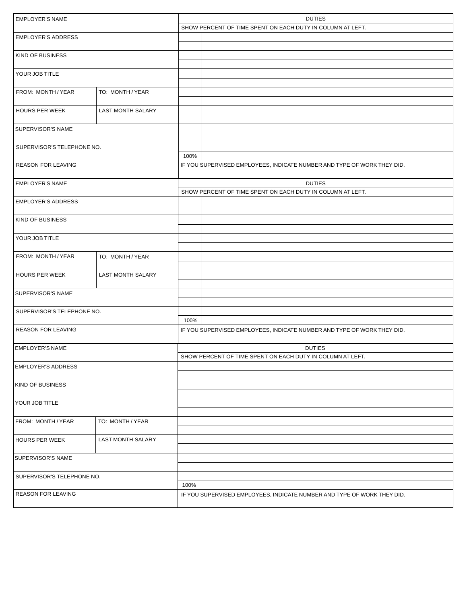| <b>EMPLOYER'S NAME</b>     |                          |      | <b>DUTIES</b>                                                           |  |  |  |  |
|----------------------------|--------------------------|------|-------------------------------------------------------------------------|--|--|--|--|
|                            |                          |      | SHOW PERCENT OF TIME SPENT ON EACH DUTY IN COLUMN AT LEFT.              |  |  |  |  |
| <b>EMPLOYER'S ADDRESS</b>  |                          |      |                                                                         |  |  |  |  |
|                            |                          |      |                                                                         |  |  |  |  |
| KIND OF BUSINESS           |                          |      |                                                                         |  |  |  |  |
|                            |                          |      |                                                                         |  |  |  |  |
| YOUR JOB TITLE             |                          |      |                                                                         |  |  |  |  |
|                            |                          |      |                                                                         |  |  |  |  |
| <b>FROM: MONTH/YEAR</b>    | TO: MONTH / YEAR         |      |                                                                         |  |  |  |  |
|                            |                          |      |                                                                         |  |  |  |  |
| <b>HOURS PER WEEK</b>      | <b>LAST MONTH SALARY</b> |      |                                                                         |  |  |  |  |
|                            |                          |      |                                                                         |  |  |  |  |
| <b>SUPERVISOR'S NAME</b>   |                          |      |                                                                         |  |  |  |  |
|                            |                          |      |                                                                         |  |  |  |  |
| SUPERVISOR'S TELEPHONE NO. |                          |      |                                                                         |  |  |  |  |
|                            |                          | 100% |                                                                         |  |  |  |  |
| <b>REASON FOR LEAVING</b>  |                          |      | IF YOU SUPERVISED EMPLOYEES, INDICATE NUMBER AND TYPE OF WORK THEY DID. |  |  |  |  |
|                            |                          |      |                                                                         |  |  |  |  |
|                            |                          |      |                                                                         |  |  |  |  |
| <b>EMPLOYER'S NAME</b>     |                          |      | <b>DUTIES</b>                                                           |  |  |  |  |
|                            |                          |      | SHOW PERCENT OF TIME SPENT ON EACH DUTY IN COLUMN AT LEFT.              |  |  |  |  |
| <b>EMPLOYER'S ADDRESS</b>  |                          |      |                                                                         |  |  |  |  |
|                            |                          |      |                                                                         |  |  |  |  |
| KIND OF BUSINESS           |                          |      |                                                                         |  |  |  |  |
|                            |                          |      |                                                                         |  |  |  |  |
| YOUR JOB TITLE             |                          |      |                                                                         |  |  |  |  |
|                            |                          |      |                                                                         |  |  |  |  |
| <b>FROM: MONTH/YEAR</b>    | TO: MONTH / YEAR         |      |                                                                         |  |  |  |  |
|                            |                          |      |                                                                         |  |  |  |  |
| HOURS PER WEEK             | <b>LAST MONTH SALARY</b> |      |                                                                         |  |  |  |  |
|                            |                          |      |                                                                         |  |  |  |  |
| <b>SUPERVISOR'S NAME</b>   |                          |      |                                                                         |  |  |  |  |
|                            |                          |      |                                                                         |  |  |  |  |
| SUPERVISOR'S TELEPHONE NO. |                          |      |                                                                         |  |  |  |  |
|                            |                          | 100% |                                                                         |  |  |  |  |
| <b>REASON FOR LEAVING</b>  |                          |      | IF YOU SUPERVISED EMPLOYEES, INDICATE NUMBER AND TYPE OF WORK THEY DID. |  |  |  |  |
|                            |                          |      |                                                                         |  |  |  |  |
| <b>EMPLOYER'S NAME</b>     |                          |      | <b>DUTIES</b>                                                           |  |  |  |  |
|                            |                          |      | SHOW PERCENT OF TIME SPENT ON EACH DUTY IN COLUMN AT LEFT.              |  |  |  |  |
| <b>EMPLOYER'S ADDRESS</b>  |                          |      |                                                                         |  |  |  |  |
|                            |                          |      |                                                                         |  |  |  |  |
| KIND OF BUSINESS           |                          |      |                                                                         |  |  |  |  |
|                            |                          |      |                                                                         |  |  |  |  |
| YOUR JOB TITLE             |                          |      |                                                                         |  |  |  |  |
|                            |                          |      |                                                                         |  |  |  |  |
|                            | TO: MONTH / YEAR         |      |                                                                         |  |  |  |  |
| FROM: MONTH / YEAR         |                          |      |                                                                         |  |  |  |  |
|                            |                          |      |                                                                         |  |  |  |  |
| <b>HOURS PER WEEK</b>      | LAST MONTH SALARY        |      |                                                                         |  |  |  |  |
|                            |                          |      |                                                                         |  |  |  |  |
| SUPERVISOR'S NAME          |                          |      |                                                                         |  |  |  |  |
|                            |                          |      |                                                                         |  |  |  |  |
| SUPERVISOR'S TELEPHONE NO. |                          |      |                                                                         |  |  |  |  |
|                            |                          | 100% |                                                                         |  |  |  |  |
| <b>REASON FOR LEAVING</b>  |                          |      | IF YOU SUPERVISED EMPLOYEES, INDICATE NUMBER AND TYPE OF WORK THEY DID. |  |  |  |  |
|                            |                          |      |                                                                         |  |  |  |  |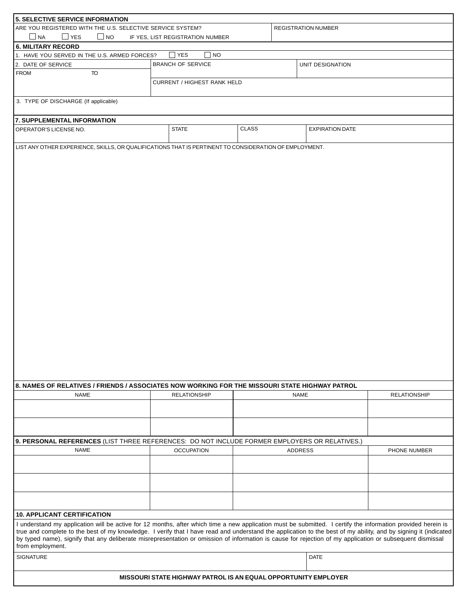| 5. SELECTIVE SERVICE INFORMATION                                                                                                                                                                                                                                                                                                |                                                                |                            |  |                        |                     |  |  |
|---------------------------------------------------------------------------------------------------------------------------------------------------------------------------------------------------------------------------------------------------------------------------------------------------------------------------------|----------------------------------------------------------------|----------------------------|--|------------------------|---------------------|--|--|
| ARE YOU REGISTERED WITH THE U.S. SELECTIVE SERVICE SYSTEM?                                                                                                                                                                                                                                                                      |                                                                | <b>REGISTRATION NUMBER</b> |  |                        |                     |  |  |
| $\Box$ NA<br>$\Box$ YES<br>$\Box$ NO<br>IF YES, LIST REGISTRATION NUMBER                                                                                                                                                                                                                                                        |                                                                |                            |  |                        |                     |  |  |
| <b>6. MILITARY RECORD</b>                                                                                                                                                                                                                                                                                                       |                                                                |                            |  |                        |                     |  |  |
| 1. HAVE YOU SERVED IN THE U.S. ARMED FORCES?                                                                                                                                                                                                                                                                                    | $\Box$ YES<br> NO                                              |                            |  |                        |                     |  |  |
| 2. DATE OF SERVICE                                                                                                                                                                                                                                                                                                              | <b>BRANCH OF SERVICE</b>                                       |                            |  | UNIT DESIGNATION       |                     |  |  |
| <b>FROM</b><br>TO                                                                                                                                                                                                                                                                                                               |                                                                |                            |  |                        |                     |  |  |
|                                                                                                                                                                                                                                                                                                                                 | <b>CURRENT / HIGHEST RANK HELD</b>                             |                            |  |                        |                     |  |  |
|                                                                                                                                                                                                                                                                                                                                 |                                                                |                            |  |                        |                     |  |  |
| 3. TYPE OF DISCHARGE (If applicable)                                                                                                                                                                                                                                                                                            |                                                                |                            |  |                        |                     |  |  |
|                                                                                                                                                                                                                                                                                                                                 |                                                                |                            |  |                        |                     |  |  |
| 7. SUPPLEMENTAL INFORMATION                                                                                                                                                                                                                                                                                                     |                                                                |                            |  |                        |                     |  |  |
| OPERATOR'S LICENSE NO.                                                                                                                                                                                                                                                                                                          | <b>STATE</b>                                                   | <b>CLASS</b>               |  | <b>EXPIRATION DATE</b> |                     |  |  |
|                                                                                                                                                                                                                                                                                                                                 |                                                                |                            |  |                        |                     |  |  |
| LIST ANY OTHER EXPERIENCE, SKILLS, OR QUALIFICATIONS THAT IS PERTINENT TO CONSIDERATION OF EMPLOYMENT.                                                                                                                                                                                                                          |                                                                |                            |  |                        |                     |  |  |
|                                                                                                                                                                                                                                                                                                                                 |                                                                |                            |  |                        |                     |  |  |
|                                                                                                                                                                                                                                                                                                                                 |                                                                |                            |  |                        |                     |  |  |
|                                                                                                                                                                                                                                                                                                                                 |                                                                |                            |  |                        |                     |  |  |
|                                                                                                                                                                                                                                                                                                                                 |                                                                |                            |  |                        |                     |  |  |
|                                                                                                                                                                                                                                                                                                                                 |                                                                |                            |  |                        |                     |  |  |
|                                                                                                                                                                                                                                                                                                                                 |                                                                |                            |  |                        |                     |  |  |
|                                                                                                                                                                                                                                                                                                                                 |                                                                |                            |  |                        |                     |  |  |
|                                                                                                                                                                                                                                                                                                                                 |                                                                |                            |  |                        |                     |  |  |
|                                                                                                                                                                                                                                                                                                                                 |                                                                |                            |  |                        |                     |  |  |
|                                                                                                                                                                                                                                                                                                                                 |                                                                |                            |  |                        |                     |  |  |
|                                                                                                                                                                                                                                                                                                                                 |                                                                |                            |  |                        |                     |  |  |
|                                                                                                                                                                                                                                                                                                                                 |                                                                |                            |  |                        |                     |  |  |
|                                                                                                                                                                                                                                                                                                                                 |                                                                |                            |  |                        |                     |  |  |
|                                                                                                                                                                                                                                                                                                                                 |                                                                |                            |  |                        |                     |  |  |
|                                                                                                                                                                                                                                                                                                                                 |                                                                |                            |  |                        |                     |  |  |
|                                                                                                                                                                                                                                                                                                                                 |                                                                |                            |  |                        |                     |  |  |
|                                                                                                                                                                                                                                                                                                                                 |                                                                |                            |  |                        |                     |  |  |
|                                                                                                                                                                                                                                                                                                                                 |                                                                |                            |  |                        |                     |  |  |
|                                                                                                                                                                                                                                                                                                                                 |                                                                |                            |  |                        |                     |  |  |
|                                                                                                                                                                                                                                                                                                                                 |                                                                |                            |  |                        |                     |  |  |
|                                                                                                                                                                                                                                                                                                                                 |                                                                |                            |  |                        |                     |  |  |
|                                                                                                                                                                                                                                                                                                                                 |                                                                |                            |  |                        |                     |  |  |
|                                                                                                                                                                                                                                                                                                                                 |                                                                |                            |  |                        |                     |  |  |
|                                                                                                                                                                                                                                                                                                                                 |                                                                |                            |  |                        |                     |  |  |
|                                                                                                                                                                                                                                                                                                                                 |                                                                |                            |  |                        |                     |  |  |
|                                                                                                                                                                                                                                                                                                                                 |                                                                |                            |  |                        |                     |  |  |
|                                                                                                                                                                                                                                                                                                                                 |                                                                |                            |  |                        |                     |  |  |
| 8. NAMES OF RELATIVES / FRIENDS / ASSOCIATES NOW WORKING FOR THE MISSOURI STATE HIGHWAY PATROL                                                                                                                                                                                                                                  |                                                                |                            |  |                        |                     |  |  |
| NAME                                                                                                                                                                                                                                                                                                                            | <b>RELATIONSHIP</b>                                            |                            |  | NAME                   | <b>RELATIONSHIP</b> |  |  |
|                                                                                                                                                                                                                                                                                                                                 |                                                                |                            |  |                        |                     |  |  |
|                                                                                                                                                                                                                                                                                                                                 |                                                                |                            |  |                        |                     |  |  |
|                                                                                                                                                                                                                                                                                                                                 |                                                                |                            |  |                        |                     |  |  |
|                                                                                                                                                                                                                                                                                                                                 |                                                                |                            |  |                        |                     |  |  |
| 9. PERSONAL REFERENCES (LIST THREE REFERENCES: DO NOT INCLUDE FORMER EMPLOYERS OR RELATIVES.)                                                                                                                                                                                                                                   |                                                                |                            |  |                        |                     |  |  |
| <b>NAME</b>                                                                                                                                                                                                                                                                                                                     | <b>OCCUPATION</b>                                              |                            |  | <b>ADDRESS</b>         | PHONE NUMBER        |  |  |
|                                                                                                                                                                                                                                                                                                                                 |                                                                |                            |  |                        |                     |  |  |
|                                                                                                                                                                                                                                                                                                                                 |                                                                |                            |  |                        |                     |  |  |
|                                                                                                                                                                                                                                                                                                                                 |                                                                |                            |  |                        |                     |  |  |
|                                                                                                                                                                                                                                                                                                                                 |                                                                |                            |  |                        |                     |  |  |
|                                                                                                                                                                                                                                                                                                                                 |                                                                |                            |  |                        |                     |  |  |
|                                                                                                                                                                                                                                                                                                                                 |                                                                |                            |  |                        |                     |  |  |
| <b>10. APPLICANT CERTIFICATION</b>                                                                                                                                                                                                                                                                                              |                                                                |                            |  |                        |                     |  |  |
|                                                                                                                                                                                                                                                                                                                                 |                                                                |                            |  |                        |                     |  |  |
| I understand my application will be active for 12 months, after which time a new application must be submitted. I certify the information provided herein is<br>true and complete to the best of my knowledge. I verify that I have read and understand the application to the best of my ability, and by signing it (indicated |                                                                |                            |  |                        |                     |  |  |
| by typed name), signify that any deliberate misrepresentation or omission of information is cause for rejection of my application or subsequent dismissal                                                                                                                                                                       |                                                                |                            |  |                        |                     |  |  |
| from employment.                                                                                                                                                                                                                                                                                                                |                                                                |                            |  |                        |                     |  |  |
| <b>SIGNATURE</b>                                                                                                                                                                                                                                                                                                                |                                                                |                            |  | <b>DATE</b>            |                     |  |  |
|                                                                                                                                                                                                                                                                                                                                 |                                                                |                            |  |                        |                     |  |  |
|                                                                                                                                                                                                                                                                                                                                 |                                                                |                            |  |                        |                     |  |  |
|                                                                                                                                                                                                                                                                                                                                 | MISSOURI STATE HIGHWAY PATROL IS AN EQUAL OPPORTUNITY EMPLOYER |                            |  |                        |                     |  |  |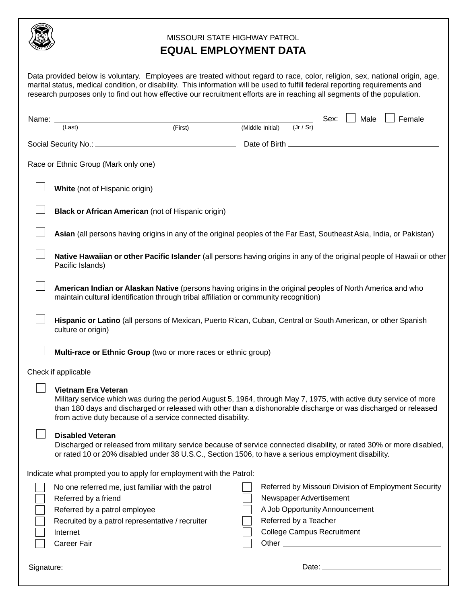

## MISSOURI STATE HIGHWAY PATROL **EQUAL EMPLOYMENT DATA**

|              | Data provided below is voluntary. Employees are treated without regard to race, color, religion, sex, national origin, age,<br>marital status, medical condition, or disability. This information will be used to fulfill federal reporting requirements and<br>research purposes only to find out how effective our recruitment efforts are in reaching all segments of the population. |         |                  |                                   |                           |                                |                                                      |
|--------------|------------------------------------------------------------------------------------------------------------------------------------------------------------------------------------------------------------------------------------------------------------------------------------------------------------------------------------------------------------------------------------------|---------|------------------|-----------------------------------|---------------------------|--------------------------------|------------------------------------------------------|
| Name: $\_\_$ |                                                                                                                                                                                                                                                                                                                                                                                          |         |                  |                                   | Sex: $\Box$               | Male                           | Female                                               |
|              | (Last)                                                                                                                                                                                                                                                                                                                                                                                   | (First) | (Middle Initial) | (Jr / Sr)                         |                           |                                |                                                      |
|              |                                                                                                                                                                                                                                                                                                                                                                                          |         |                  |                                   |                           |                                |                                                      |
|              | Race or Ethnic Group (Mark only one)                                                                                                                                                                                                                                                                                                                                                     |         |                  |                                   |                           |                                |                                                      |
|              | White (not of Hispanic origin)                                                                                                                                                                                                                                                                                                                                                           |         |                  |                                   |                           |                                |                                                      |
|              | <b>Black or African American (not of Hispanic origin)</b>                                                                                                                                                                                                                                                                                                                                |         |                  |                                   |                           |                                |                                                      |
|              | Asian (all persons having origins in any of the original peoples of the Far East, Southeast Asia, India, or Pakistan)                                                                                                                                                                                                                                                                    |         |                  |                                   |                           |                                |                                                      |
|              | Native Hawaiian or other Pacific Islander (all persons having origins in any of the original people of Hawaii or other<br>Pacific Islands)                                                                                                                                                                                                                                               |         |                  |                                   |                           |                                |                                                      |
|              | American Indian or Alaskan Native (persons having origins in the original peoples of North America and who<br>maintain cultural identification through tribal affiliation or community recognition)                                                                                                                                                                                      |         |                  |                                   |                           |                                |                                                      |
|              | Hispanic or Latino (all persons of Mexican, Puerto Rican, Cuban, Central or South American, or other Spanish<br>culture or origin)                                                                                                                                                                                                                                                       |         |                  |                                   |                           |                                |                                                      |
|              | Multi-race or Ethnic Group (two or more races or ethnic group)                                                                                                                                                                                                                                                                                                                           |         |                  |                                   |                           |                                |                                                      |
|              | Check if applicable                                                                                                                                                                                                                                                                                                                                                                      |         |                  |                                   |                           |                                |                                                      |
|              | <b>Vietnam Era Veteran</b><br>Military service which was during the period August 5, 1964, through May 7, 1975, with active duty service of more<br>than 180 days and discharged or released with other than a dishonorable discharge or was discharged or released<br>from active duty because of a service connected disability.                                                       |         |                  |                                   |                           |                                |                                                      |
|              | <b>Disabled Veteran</b><br>Discharged or released from military service because of service connected disability, or rated 30% or more disabled,<br>or rated 10 or 20% disabled under 38 U.S.C., Section 1506, to have a serious employment disability.                                                                                                                                   |         |                  |                                   |                           |                                |                                                      |
|              | Indicate what prompted you to apply for employment with the Patrol:                                                                                                                                                                                                                                                                                                                      |         |                  |                                   |                           |                                |                                                      |
|              | No one referred me, just familiar with the patrol                                                                                                                                                                                                                                                                                                                                        |         |                  |                                   |                           |                                | Referred by Missouri Division of Employment Security |
|              | Referred by a friend                                                                                                                                                                                                                                                                                                                                                                     |         |                  | Newspaper Advertisement           |                           |                                |                                                      |
|              | Referred by a patrol employee                                                                                                                                                                                                                                                                                                                                                            |         |                  |                                   |                           | A Job Opportunity Announcement |                                                      |
|              | Recruited by a patrol representative / recruiter                                                                                                                                                                                                                                                                                                                                         |         |                  | Referred by a Teacher             |                           |                                |                                                      |
|              | Internet                                                                                                                                                                                                                                                                                                                                                                                 |         |                  | <b>College Campus Recruitment</b> |                           |                                |                                                      |
|              | <b>Career Fair</b>                                                                                                                                                                                                                                                                                                                                                                       |         |                  |                                   |                           |                                |                                                      |
| Signature:   |                                                                                                                                                                                                                                                                                                                                                                                          |         |                  |                                   | Date: $\_\_\_\_\_\_\_\_\$ |                                |                                                      |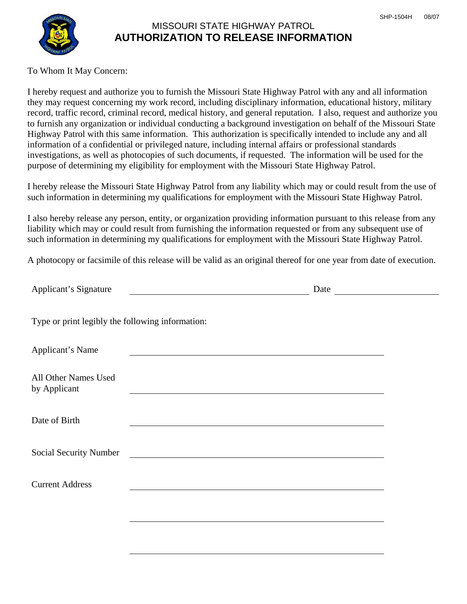

# MISSOURI STATE HIGHWAY PATROL **AUTHORIZATION TO RELEASE INFORMATION**

### To Whom It May Concern:

I hereby request and authorize you to furnish the Missouri State Highway Patrol with any and all information they may request concerning my work record, including disciplinary information, educational history, military record, traffic record, criminal record, medical history, and general reputation. I also, request and authorize you to furnish any organization or individual conducting a background investigation on behalf of the Missouri State Highway Patrol with this same information. This authorization is specifically intended to include any and all information of a confidential or privileged nature, including internal affairs or professional standards investigations, as well as photocopies of such documents, if requested. The information will be used for the purpose of determining my eligibility for employment with the Missouri State Highway Patrol.

I hereby release the Missouri State Highway Patrol from any liability which may or could result from the use of such information in determining my qualifications for employment with the Missouri State Highway Patrol.

I also hereby release any person, entity, or organization providing information pursuant to this release from any liability which may or could result from furnishing the information requested or from any subsequent use of such information in determining my qualifications for employment with the Missouri State Highway Patrol.

A photocopy or facsimile of this release will be valid as an original thereof for one year from date of execution.

| Type or print legibly the following information:<br>Applicant's Name<br><u> 1989 - John Stone, amerikansk politiker († 1908)</u><br>All Other Names Used<br>by Applicant<br>the control of the control of the control of the control of the control of the control of the control of the control of the control of the control of the control of the control of the control of the control of the control<br>Date of Birth<br>Social Security Number<br><u> 1980 - Johann Stoff, deutscher Stoff, der Stoff, der Stoff, der Stoff, der Stoff, der Stoff, der Stoff, der S</u><br><b>Current Address</b> | Applicant's Signature | Date |  |
|---------------------------------------------------------------------------------------------------------------------------------------------------------------------------------------------------------------------------------------------------------------------------------------------------------------------------------------------------------------------------------------------------------------------------------------------------------------------------------------------------------------------------------------------------------------------------------------------------------|-----------------------|------|--|
|                                                                                                                                                                                                                                                                                                                                                                                                                                                                                                                                                                                                         |                       |      |  |
|                                                                                                                                                                                                                                                                                                                                                                                                                                                                                                                                                                                                         |                       |      |  |
|                                                                                                                                                                                                                                                                                                                                                                                                                                                                                                                                                                                                         |                       |      |  |
|                                                                                                                                                                                                                                                                                                                                                                                                                                                                                                                                                                                                         |                       |      |  |
|                                                                                                                                                                                                                                                                                                                                                                                                                                                                                                                                                                                                         |                       |      |  |
|                                                                                                                                                                                                                                                                                                                                                                                                                                                                                                                                                                                                         |                       |      |  |
|                                                                                                                                                                                                                                                                                                                                                                                                                                                                                                                                                                                                         |                       |      |  |
|                                                                                                                                                                                                                                                                                                                                                                                                                                                                                                                                                                                                         |                       |      |  |
|                                                                                                                                                                                                                                                                                                                                                                                                                                                                                                                                                                                                         |                       |      |  |
|                                                                                                                                                                                                                                                                                                                                                                                                                                                                                                                                                                                                         |                       |      |  |
|                                                                                                                                                                                                                                                                                                                                                                                                                                                                                                                                                                                                         |                       |      |  |
|                                                                                                                                                                                                                                                                                                                                                                                                                                                                                                                                                                                                         |                       |      |  |
|                                                                                                                                                                                                                                                                                                                                                                                                                                                                                                                                                                                                         |                       |      |  |
|                                                                                                                                                                                                                                                                                                                                                                                                                                                                                                                                                                                                         |                       |      |  |
|                                                                                                                                                                                                                                                                                                                                                                                                                                                                                                                                                                                                         |                       |      |  |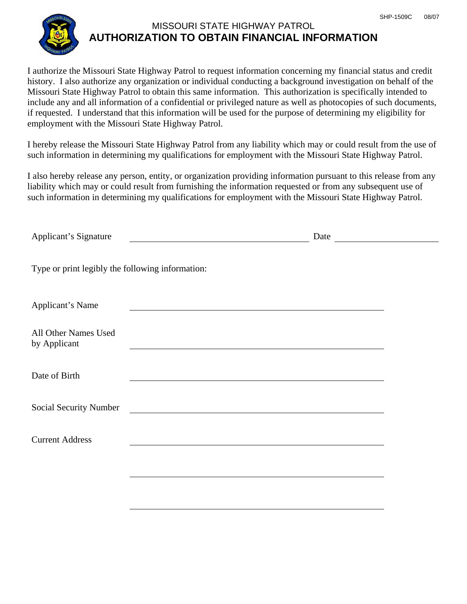

# MISSOURI STATE HIGHWAY PATROL **AUTHORIZATION TO OBTAIN FINANCIAL INFORMATION**

I authorize the Missouri State Highway Patrol to request information concerning my financial status and credit history. I also authorize any organization or individual conducting a background investigation on behalf of the Missouri State Highway Patrol to obtain this same information. This authorization is specifically intended to include any and all information of a confidential or privileged nature as well as photocopies of such documents, if requested. I understand that this information will be used for the purpose of determining my eligibility for employment with the Missouri State Highway Patrol.

I hereby release the Missouri State Highway Patrol from any liability which may or could result from the use of such information in determining my qualifications for employment with the Missouri State Highway Patrol.

I also hereby release any person, entity, or organization providing information pursuant to this release from any liability which may or could result from furnishing the information requested or from any subsequent use of such information in determining my qualifications for employment with the Missouri State Highway Patrol.

| Applicant's Signature<br><u> 1980 - Johann Barn, mars ann an t-Amhain Aonaich an t-Aonaich an t-Aonaich ann an t-Aonaich ann an t-Aonaich</u> | Date                                                                                                             | <u> 1990 - Johann Barbara, martxa a</u> |
|-----------------------------------------------------------------------------------------------------------------------------------------------|------------------------------------------------------------------------------------------------------------------|-----------------------------------------|
| Type or print legibly the following information:                                                                                              |                                                                                                                  |                                         |
| Applicant's Name                                                                                                                              |                                                                                                                  |                                         |
| All Other Names Used<br>by Applicant                                                                                                          | and the control of the control of the control of the control of the control of the control of the control of the |                                         |
| Date of Birth                                                                                                                                 |                                                                                                                  |                                         |
| <b>Social Security Number</b>                                                                                                                 | <u> 1989 - Johann Stein, mars an deutscher Stein († 1958)</u>                                                    |                                         |
| <b>Current Address</b>                                                                                                                        |                                                                                                                  |                                         |
|                                                                                                                                               |                                                                                                                  |                                         |
|                                                                                                                                               |                                                                                                                  |                                         |